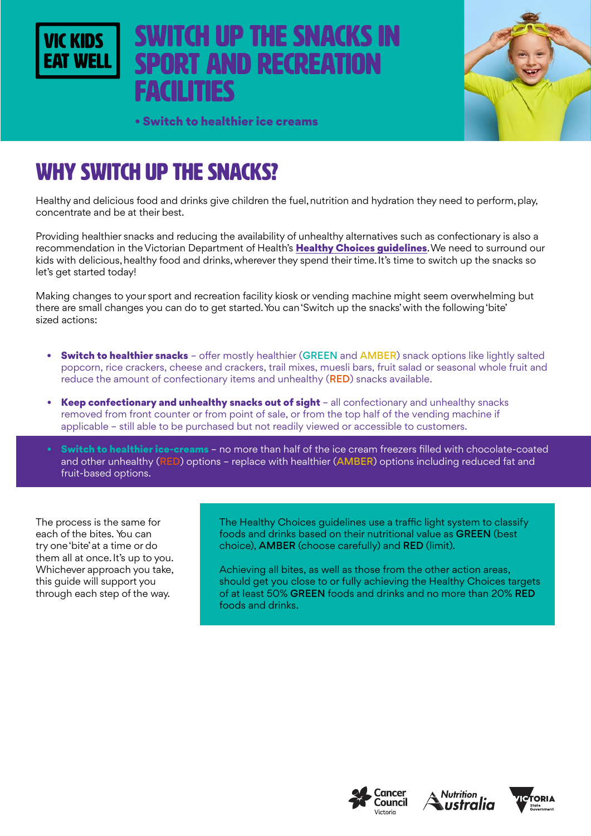# switch up the snacks in **PORT AND RECREATION** facilities



• Switch to healthier ice creams

# WHY SWITCH UP THE SNACKS?

Healthy and delicious food and drinks give children the fuel, nutrition and hydration they need to perform, play, concentrate and be at their best.

Providing healthier snacks and reducing the availability of unhealthy alternatives such as confectionary is also a recommendation in the Victorian Department of Health's Healthy Choices quidelines. We need to surround our kids with delicious, healthy food and drinks, wherever they spend their time. It's time to switch up the snacks so let's get started today!

Making changes to your sport and recreation facility kiosk or vending machine might seem overwhelming but there are small changes you can do to get started. You can 'Switch up the snacks' with the following 'bite' sized actions:

- **Switch to healthier snacks** offer mostly healthier (GREEN and AMBER) snack options like lightly salted popcorn, rice crackers, cheese and crackers, trail mixes, muesli bars, fruit salad or seasonal whole fruit and reduce the amount of confectionary items and unhealthy (RED) snacks available.
- Keep confectionary and unhealthy snacks out of sight all confectionary and unhealthy snacks removed from front counter or from point of sale, or from the top half of the vending machine if applicable – still able to be purchased but not readily viewed or accessible to customers.
- Switch to healthier ice-creams no more than half of the ice cream freezers filled with chocolate-coated and other unhealthy (RED) options - replace with healthier (AMBER) options including reduced fat and fruit-based options.

The process is the same for each of the bites. You can try one 'bite' at a time or do them all at once. It's up to you. Whichever approach you take, this guide will support you through each step of the way.

The Healthy Choices guidelines use a traffic light system to classify foods and drinks based on their nutritional value as GREEN (best choice), AMBER (choose carefully) and RED (limit).

Achieving all bites, as well as those from the other action areas, should get you close to or fully achieving the Healthy Choices targets of at least 50% GREEN foods and drinks and no more than 20% RED foods and drinks.





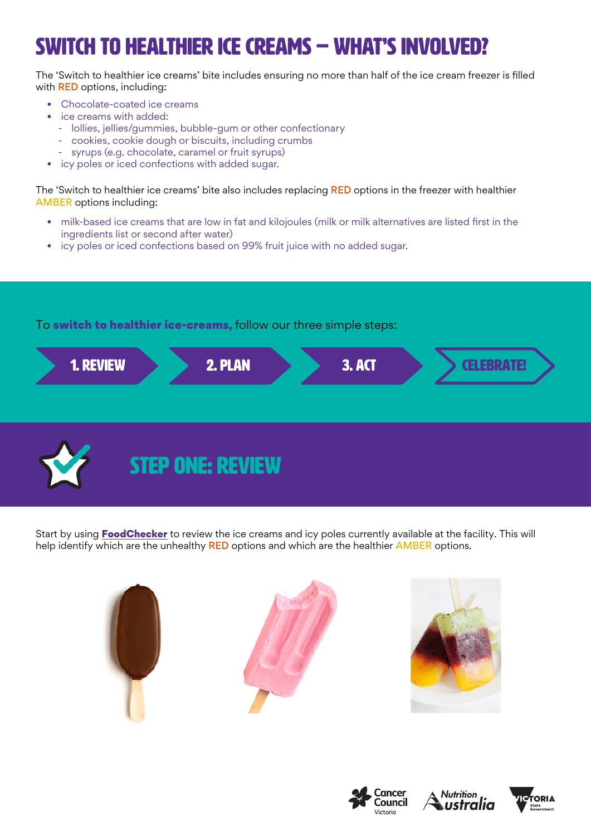# switch to healthier ice creams – WHAT'S INVOLVED?

The 'Switch to healthier ice creams' bite includes ensuring no more than half of the ice cream freezer is filled with RED options, including:

- Chocolate-coated ice creams
- ice creams with added:
- lollies, jellies/gummies, bubble-gum or other confectionary
- cookies, cookie dough or biscuits, including crumbs
- syrups (e.g. chocolate, caramel or fruit syrups)
- icy poles or iced confections with added sugar.

The 'Switch to healthier ice creams' bite also includes replacing RED options in the freezer with healthier AMBER options including:

- milk-based ice creams that are low in fat and kilojoules (milk or milk alternatives are listed first in the ingredients list or second after water)
- icy poles or iced confections based on 99% fruit juice with no added sugar.

To switch to healthier ice-creams, follow our three simple steps:





Start by using [FoodChecker](https://foodchecker.heas.health.vic.gov.au/) to review the ice creams and icy poles currently available at the facility. This will help identify which are the unhealthy RED options and which are the healthier AMBER options.











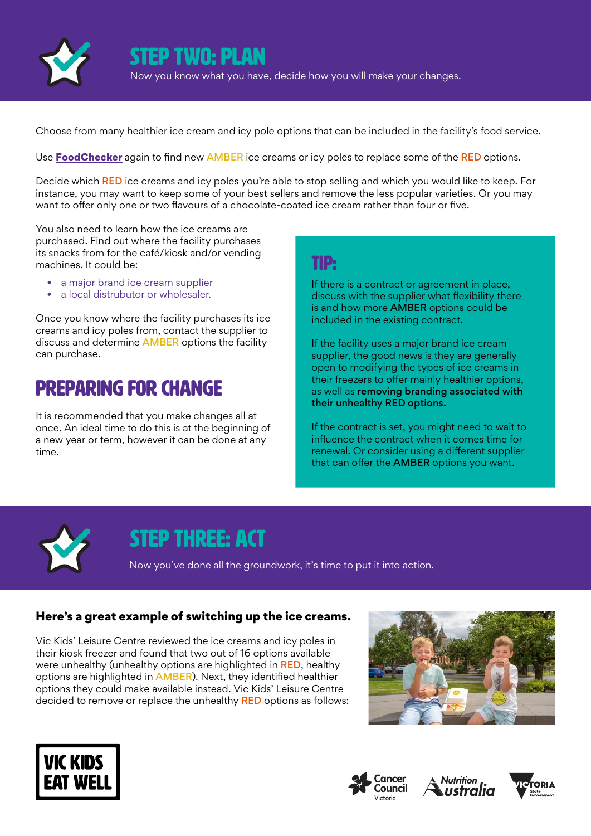

STEP two: plan Now you know what you have, decide how you will make your changes.

Choose from many healthier ice cream and icy pole options that can be included in the facility's food service.

Use Food Checker again to find new AMBER ice creams or icy poles to replace some of the RED options.

Decide which RED ice creams and icy poles you're able to stop selling and which you would like to keep. For instance, you may want to keep some of your best sellers and remove the less popular varieties. Or you may want to offer only one or two flavours of a chocolate-coated ice cream rather than four or five.

You also need to learn how the ice creams are purchased. Find out where the facility purchases its snacks from for the café/kiosk and/or vending machines. It could be:

- a major brand ice cream supplier
- a local distrubutor or wholesaler.

Once you know where the facility purchases its ice creams and icy poles from, contact the supplier to discuss and determine AMBER options the facility can purchase.

### Preparing for change

It is recommended that you make changes all at once. An ideal time to do this is at the beginning of a new year or term, however it can be done at any time.

#### TIP:

If there is a contract or agreement in place, discuss with the supplier what flexibility there is and how more AMBER options could be included in the existing contract.

If the facility uses a major brand ice cream supplier, the good news is they are generally open to modifying the types of ice creams in their freezers to offer mainly healthier options, as well as removing branding associated with their unhealthy RED options.

If the contract is set, you might need to wait to influence the contract when it comes time for renewal. Or consider using a different supplier that can offer the AMBER options you want.



### STEP THREE: ACT

Now you've done all the groundwork, it's time to put it into action.

#### Here's a great example of switching up the ice creams.

Vic Kids' Leisure Centre reviewed the ice creams and icy poles in their kiosk freezer and found that two out of 16 options available were unhealthy (unhealthy options are highlighted in RED, healthy options are highlighted in AMBER). Next, they identified healthier options they could make available instead. Vic Kids' Leisure Centre decided to remove or replace the unhealthy **RED** options as follows:









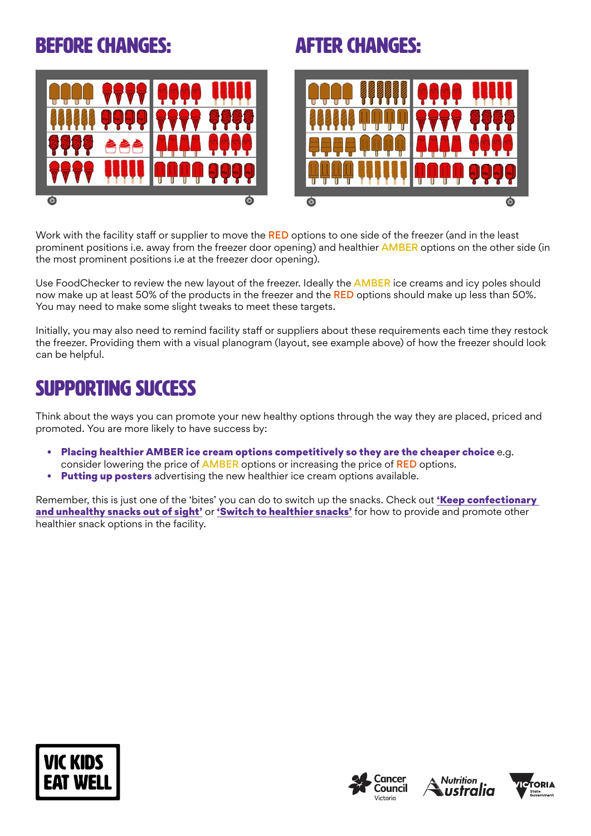## Before changes: after changes:



Work with the facility staff or supplier to move the RED options to one side of the freezer (and in the least prominent positions i.e. away from the freezer door opening) and healthier AMBER options on the other side (in the most prominent positions i.e at the freezer door opening).

Use FoodChecker to review the new layout of the freezer. Ideally the **AMBER** ice creams and icy poles should now make up at least 50% of the products in the freezer and the RED options should make up less than 50%. You may need to make some slight tweaks to meet these targets.

Initially, you may also need to remind facility staff or suppliers about these requirements each time they restock the freezer. Providing them with a visual planogram (layout, see example above) of how the freezer should look can be helpful.

## SUPPORTING SUCCESS

Think about the ways you can promote your new healthy options through the way they are placed, priced and promoted. You are more likely to have success by:

- Placing healthier AMBER ice cream options competitively so they are the cheaper choice e.g. consider lowering the price of AMBER options or increasing the price of RED options.
- **Putting up posters** advertising the new healthier ice cream options available.

Remember, this is just one of the 'bites' you can do to switch up the snacks. Check out 'Keep confectionary [and unhealthy snacks out of sight'](https://www.vickidseatwell.health.vic.gov.au/resources) or ['Switch to healthier snacks'](https://www.vickidseatwell.health.vic.gov.au/resources) for how to provide and promote other healthier snack options in the facility.